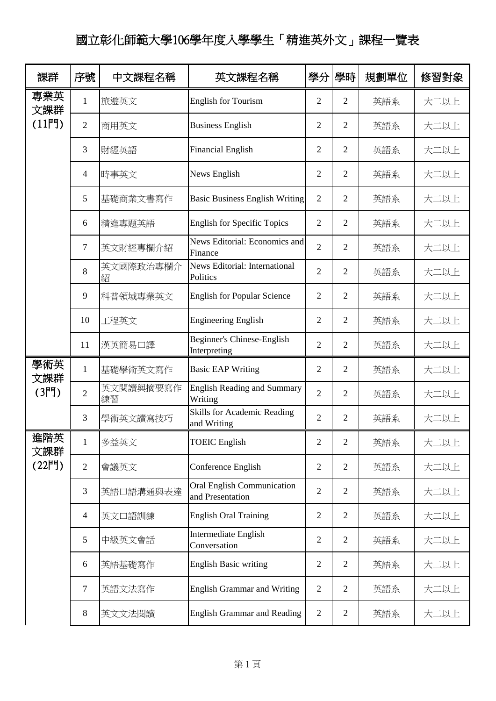## 國立彰化師範大學106學年度入學學生「精進英外文」課程一覽表

| 課群         | 序號             | 中文課程名稱          | 英文課程名稱                                                | 學分             | 學時             | 規劃單位 | 修習對象 |
|------------|----------------|-----------------|-------------------------------------------------------|----------------|----------------|------|------|
| 專業英<br>文課群 | $\mathbf{1}$   | 旅遊英文            | <b>English for Tourism</b>                            | $\overline{2}$ | $\overline{2}$ | 英語系  | 大二以上 |
| $(11$ 門    | $\overline{2}$ | 商用英文            | <b>Business English</b>                               | $\overline{2}$ | 2              | 英語系  | 大二以上 |
|            | 3              | 財經英語            | <b>Financial English</b>                              | $\overline{2}$ | $\overline{2}$ | 英語系  | 大二以上 |
|            | 4              | 時事英文            | News English                                          | 2              | $\overline{2}$ | 英語系  | 大二以上 |
|            | 5              | 基礎商業文書寫作        | <b>Basic Business English Writing</b>                 | $\overline{2}$ | $\overline{2}$ | 英語系  | 大二以上 |
|            | 6              | 精進專題英語          | <b>English for Specific Topics</b>                    | $\overline{2}$ | $\overline{2}$ | 英語系  | 大二以上 |
|            | 7              | 英文財經專欄介紹        | News Editorial: Economics and<br>Finance              | $\overline{2}$ | $\overline{2}$ | 英語系  | 大二以上 |
|            | 8              | 英文國際政治專欄介<br>紹  | News Editorial: International<br>Politics             | $\overline{2}$ | $\overline{2}$ | 英語系  | 大二以上 |
|            | 9              | 科普領域專業英文        | <b>English for Popular Science</b>                    | $\overline{2}$ | $\overline{2}$ | 英語系  | 大二以上 |
|            | 10             | 工程英文            | <b>Engineering English</b>                            | $\overline{2}$ | $\overline{2}$ | 英語系  | 大二以上 |
|            | 11             | 漢英簡易口譯          | Beginner's Chinese-English<br>Interpreting            | $\overline{2}$ | $\overline{2}$ | 英語系  | 大二以上 |
| 學術英<br>文課群 | $\mathbf{1}$   | 基礎學術英文寫作        | <b>Basic EAP Writing</b>                              | $\overline{2}$ | 2              | 英語系  | 大二以上 |
| $(31$ 門)   | $\overline{2}$ | 英文閱讀與摘要寫作<br>練習 | <b>English Reading and Summary</b><br>Writing         | $\overline{2}$ | $\overline{2}$ | 英語系  | 大二以上 |
|            | 3              | 學術英文讀寫技巧        | <b>Skills for Academic Reading</b><br>and Writing     | $\overline{2}$ | $\overline{2}$ | 英語系  | 大二以上 |
| 進階英<br>文課群 | $\mathbf{1}$   | 多益英文            | <b>TOEIC</b> English                                  | $\overline{2}$ | $\overline{2}$ | 英語系  | 大二以上 |
| (22門)      | $\mathbf{2}$   | 會議英文            | Conference English                                    | $\overline{2}$ | $\overline{2}$ | 英語系  | 大二以上 |
|            | 3              | 英語口語溝通與表達       | <b>Oral English Communication</b><br>and Presentation | $\overline{2}$ | $\overline{2}$ | 英語系  | 大二以上 |
|            | $\overline{4}$ | 英文口語訓練          | <b>English Oral Training</b>                          | $\overline{2}$ | $\overline{2}$ | 英語系  | 大二以上 |
|            | 5              | 中級英文會話          | Intermediate English<br>Conversation                  | $\overline{2}$ | $\overline{2}$ | 英語系  | 大二以上 |
|            | 6              | 英語基礎寫作          | <b>English Basic writing</b>                          | $\overline{2}$ | $\overline{2}$ | 英語系  | 大二以上 |
|            | 7              | 英語文法寫作          | <b>English Grammar and Writing</b>                    | $\overline{2}$ | $\overline{2}$ | 英語系  | 大二以上 |
|            | 8              | 英文文法閱讀          | <b>English Grammar and Reading</b>                    | $\overline{2}$ | $\overline{2}$ | 英語系  | 大二以上 |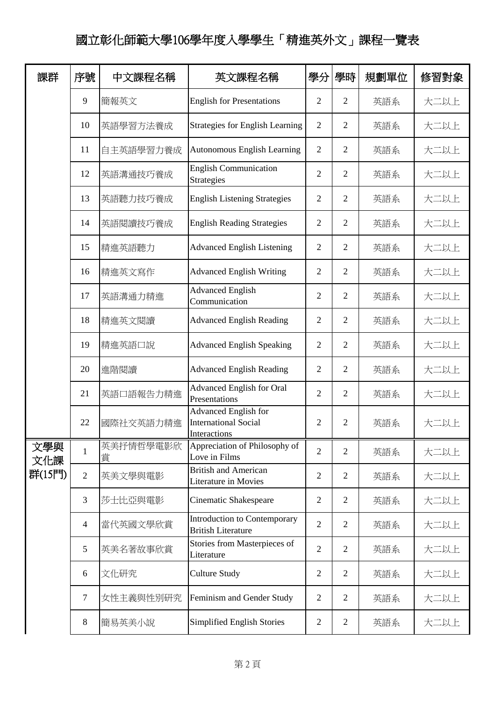## 國立彰化師範大學106學年度入學學生「精進英外文」課程一覽表

| 課群         | 序號             | 中文課程名稱         | 英文課程名稱                                                                     | 學分             | 學時             | 規劃單位 | 修習對象 |
|------------|----------------|----------------|----------------------------------------------------------------------------|----------------|----------------|------|------|
|            | 9              | 簡報英文           | <b>English for Presentations</b>                                           | $\overline{2}$ | $\overline{2}$ | 英語系  | 大二以上 |
|            | 10             | 英語學習方法養成       | <b>Strategies for English Learning</b>                                     | $\overline{2}$ | $\mathfrak{2}$ | 英語系  | 大二以上 |
|            | 11             | 自主英語學習力養成      | Autonomous English Learning                                                | $\overline{2}$ | $\overline{2}$ | 英語系  | 大二以上 |
|            | 12             | 英語溝通技巧養成       | <b>English Communication</b><br><b>Strategies</b>                          | $\overline{2}$ | $\overline{2}$ | 英語系  | 大二以上 |
|            | 13             | 英語聽力技巧養成       | <b>English Listening Strategies</b>                                        | $\overline{2}$ | $\overline{2}$ | 英語系  | 大二以上 |
|            | 14             | 英語閱讀技巧養成       | <b>English Reading Strategies</b>                                          | $\overline{2}$ | $\overline{2}$ | 英語系  | 大二以上 |
|            | 15             | 精進英語聽力         | <b>Advanced English Listening</b>                                          | $\overline{2}$ | $\overline{2}$ | 英語系  | 大二以上 |
|            | 16             | 精進英文寫作         | <b>Advanced English Writing</b>                                            | $\overline{2}$ | $\mathfrak{2}$ | 英語系  | 大二以上 |
|            | 17             | 英語溝通力精進        | <b>Advanced English</b><br>Communication                                   | $\overline{2}$ | $\overline{2}$ | 英語系  | 大二以上 |
|            | 18             | 精進英文閱讀         | <b>Advanced English Reading</b>                                            | $\overline{2}$ | $\overline{2}$ | 英語系  | 大二以上 |
|            | 19             | 精進英語口說         | <b>Advanced English Speaking</b>                                           | $\overline{2}$ | $\overline{2}$ | 英語系  | 大二以上 |
|            | 20             | 進階閱讀           | <b>Advanced English Reading</b>                                            | $\overline{2}$ | $\overline{2}$ | 英語系  | 大二以上 |
|            | 21             | 英語口語報告力精進      | <b>Advanced English for Oral</b><br>Presentations                          | $\overline{2}$ | $\overline{2}$ | 英語系  | 大二以上 |
|            | 22             | 國際社交英語力精進      | <b>Advanced English for</b><br><b>International Social</b><br>Interactions | $\mathbf{2}$   | 2              | 英語系  | 大二以上 |
| 文學與<br>文化課 | $\mathbf{1}$   | 英美抒情哲學電影欣<br>賞 | Appreciation of Philosophy of<br>Love in Films                             | $\overline{2}$ | $\overline{2}$ | 英語系  | 大二以上 |
| 群(15門)     | $\overline{2}$ | 英美文學與電影        | <b>British and American</b><br>Literature in Movies                        | $\overline{2}$ | $\overline{2}$ | 英語系  | 大二以上 |
|            | 3              | 莎士比亞與電影        | <b>Cinematic Shakespeare</b>                                               | $\overline{2}$ | $\overline{2}$ | 英語系  | 大二以上 |
|            | $\overline{4}$ | 當代英國文學欣賞       | Introduction to Contemporary<br><b>British Literature</b>                  | $\overline{2}$ | $\overline{2}$ | 英語系  | 大二以上 |
|            | 5              | 英美名著故事欣賞       | Stories from Masterpieces of<br>Literature                                 | $\overline{2}$ | $\overline{2}$ | 英語系  | 大二以上 |
|            | 6              | 文化研究           | Culture Study                                                              | 2              | $\overline{2}$ | 英語系  | 大二以上 |
|            | $\overline{7}$ | 女性主義與性別研究      | Feminism and Gender Study                                                  | $\overline{2}$ | $\overline{2}$ | 英語系  | 大二以上 |
|            | 8              | 簡易英美小說         | Simplified English Stories                                                 | 2              | $\overline{2}$ | 英語系  | 大二以上 |